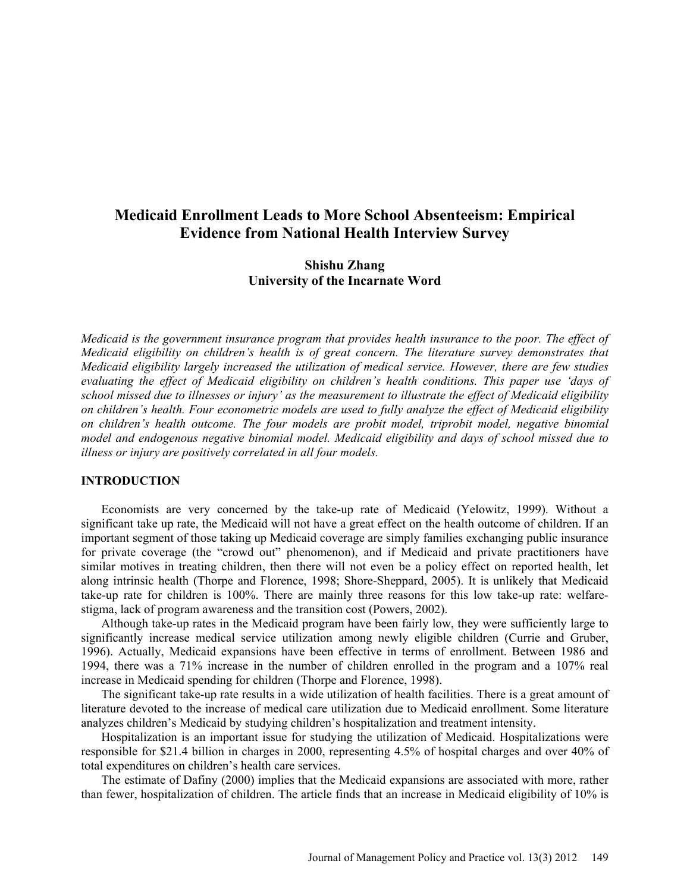# **Medicaid Enrollment Leads to More School Absenteeism: Empirical Evidence from National Health Interview Survey**

# **Shishu Zhang University of the Incarnate Word**

*Medicaid is the government insurance program that provides health insurance to the poor. The effect of Medicaid eligibility on children's health is of great concern. The literature survey demonstrates that Medicaid eligibility largely increased the utilization of medical service. However, there are few studies evaluating the effect of Medicaid eligibility on children's health conditions. This paper use 'days of school missed due to illnesses or injury' as the measurement to illustrate the effect of Medicaid eligibility on children's health. Four econometric models are used to fully analyze the effect of Medicaid eligibility on children's health outcome. The four models are probit model, triprobit model, negative binomial model and endogenous negative binomial model. Medicaid eligibility and days of school missed due to illness or injury are positively correlated in all four models.*

### **INTRODUCTION**

Economists are very concerned by the take-up rate of Medicaid (Yelowitz, 1999). Without a significant take up rate, the Medicaid will not have a great effect on the health outcome of children. If an important segment of those taking up Medicaid coverage are simply families exchanging public insurance for private coverage (the "crowd out" phenomenon), and if Medicaid and private practitioners have similar motives in treating children, then there will not even be a policy effect on reported health, let along intrinsic health (Thorpe and Florence, 1998; Shore-Sheppard, 2005). It is unlikely that Medicaid take-up rate for children is 100%. There are mainly three reasons for this low take-up rate: welfarestigma, lack of program awareness and the transition cost (Powers, 2002).

Although take-up rates in the Medicaid program have been fairly low, they were sufficiently large to significantly increase medical service utilization among newly eligible children (Currie and Gruber, 1996). Actually, Medicaid expansions have been effective in terms of enrollment. Between 1986 and 1994, there was a 71% increase in the number of children enrolled in the program and a 107% real increase in Medicaid spending for children (Thorpe and Florence, 1998).

The significant take-up rate results in a wide utilization of health facilities. There is a great amount of literature devoted to the increase of medical care utilization due to Medicaid enrollment. Some literature analyzes children's Medicaid by studying children's hospitalization and treatment intensity.

Hospitalization is an important issue for studying the utilization of Medicaid. Hospitalizations were responsible for \$21.4 billion in charges in 2000, representing 4.5% of hospital charges and over 40% of total expenditures on children's health care services.

The estimate of Dafiny (2000) implies that the Medicaid expansions are associated with more, rather than fewer, hospitalization of children. The article finds that an increase in Medicaid eligibility of 10% is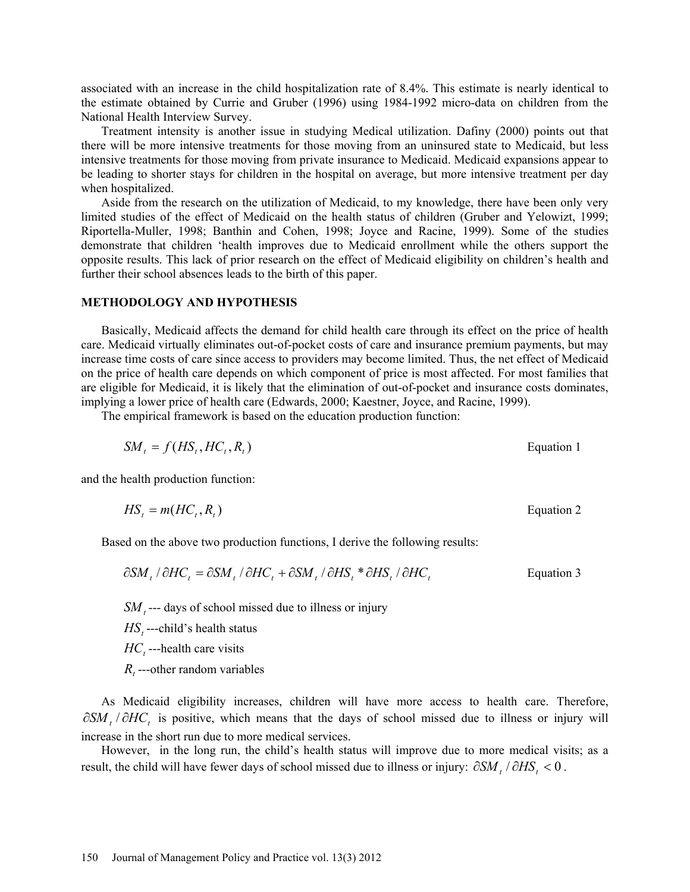associated with an increase in the child hospitalization rate of 8.4%. This estimate is nearly identical to the estimate obtained by Currie and Gruber (1996) using 1984-1992 micro-data on children from the National Health Interview Survey.

Treatment intensity is another issue in studying Medical utilization. Dafiny (2000) points out that there will be more intensive treatments for those moving from an uninsured state to Medicaid, but less intensive treatments for those moving from private insurance to Medicaid. Medicaid expansions appear to be leading to shorter stays for children in the hospital on average, but more intensive treatment per day when hospitalized.

Aside from the research on the utilization of Medicaid, to my knowledge, there have been only very limited studies of the effect of Medicaid on the health status of children (Gruber and Yelowizt, 1999; Riportella-Muller, 1998; Banthin and Cohen, 1998; Joyce and Racine, 1999). Some of the studies demonstrate that children 'health improves due to Medicaid enrollment while the others support the opposite results. This lack of prior research on the effect of Medicaid eligibility on children's health and further their school absences leads to the birth of this paper.

#### **METHODOLOGY AND HYPOTHESIS**

Basically, Medicaid affects the demand for child health care through its effect on the price of health care. Medicaid virtually eliminates out-of-pocket costs of care and insurance premium payments, but may increase time costs of care since access to providers may become limited. Thus, the net effect of Medicaid on the price of health care depends on which component of price is most affected. For most families that are eligible for Medicaid, it is likely that the elimination of out-of-pocket and insurance costs dominates, implying a lower price of health care (Edwards, 2000; Kaestner, Joyce, and Racine, 1999).

The empirical framework is based on the education production function:

$$
SM_t = f(HS_t, HC_t, R_t)
$$
  Equation 1

and the health production function:

$$
HS_t = m(HC_t, R_t)
$$
 Equation 2

Based on the above two production functions, I derive the following results:

$$
\frac{\partial SM}{t} / \partial HC_t = \frac{\partial SM}{t} / \partial HC_t + \frac{\partial SM}{t} / \partial HS_t * \partial HS_t / \partial HC_t
$$
 Equation 3

*SM*, --- days of school missed due to illness or injury

*HS*<sub>t</sub>---child's health status

 $HC<sub>t</sub>$  ---health care visits

*R*<sub>*r*</sub> ---other random variables

As Medicaid eligibility increases, children will have more access to health care. Therefore, ∂SM, /∂HC<sub>t</sub> is positive, which means that the days of school missed due to illness or injury will increase in the short run due to more medical services.

However, in the long run, the child's health status will improve due to more medical visits; as a result, the child will have fewer days of school missed due to illness or injury:  $\partial SM$ ,  $/\partial HS$ , < 0.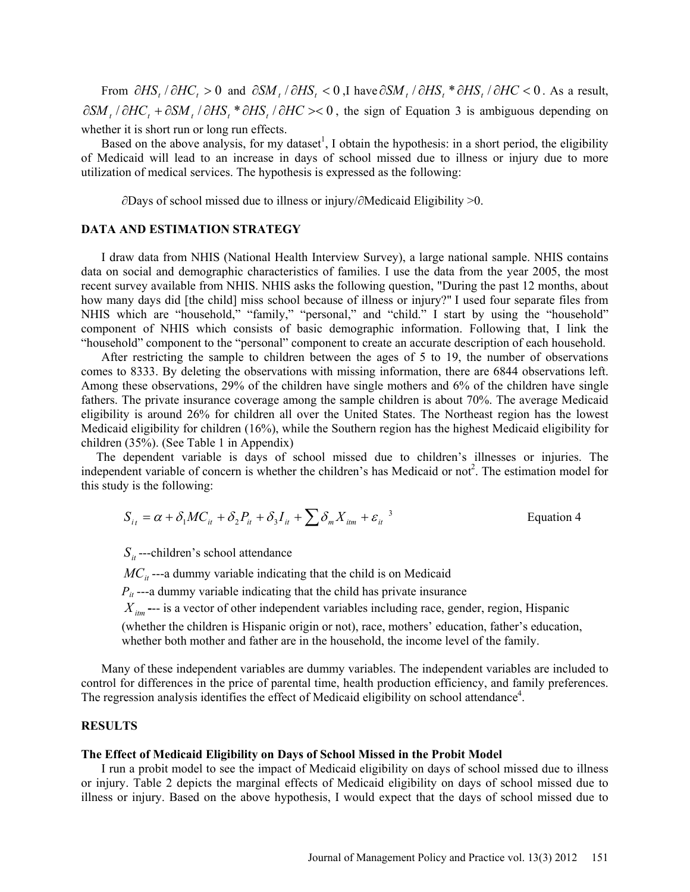From  $\partial HS_t / \partial HC_t > 0$  and  $\partial SM_t / \partial HS_t < 0$ , I have  $\partial SM_t / \partial HS_t * \partial HS_t / \partial HC < 0$ . As a result,  $\partial SM$ , / $\partial HC$ , + $\partial SM$ , / $\partial HS$ , \* $\partial HS$ , / $\partial HC$  >< 0, the sign of Equation 3 is ambiguous depending on whether it is short run or long run effects.

Based on the above analysis, for my dataset<sup>1</sup>, I obtain the hypothesis: in a short period, the eligibility of Medicaid will lead to an increase in days of school missed due to illness or injury due to more utilization of medical services. The hypothesis is expressed as the following:

∂Days of school missed due to illness or injury/∂Medicaid Eligibility >0.

### **DATA AND ESTIMATION STRATEGY**

I draw data from NHIS (National Health Interview Survey), a large national sample. NHIS contains data on social and demographic characteristics of families. I use the data from the year 2005, the most recent survey available from NHIS. NHIS asks the following question, "During the past 12 months, about how many days did [the child] miss school because of illness or injury?" I used four separate files from NHIS which are "household," "family," "personal," and "child." I start by using the "household" component of NHIS which consists of basic demographic information. Following that, I link the "household" component to the "personal" component to create an accurate description of each household.

After restricting the sample to children between the ages of 5 to 19, the number of observations comes to 8333. By deleting the observations with missing information, there are 6844 observations left. Among these observations, 29% of the children have single mothers and 6% of the children have single fathers. The private insurance coverage among the sample children is about 70%. The average Medicaid eligibility is around 26% for children all over the United States. The Northeast region has the lowest Medicaid eligibility for children (16%), while the Southern region has the highest Medicaid eligibility for children (35%). (See Table 1 in Appendix)

The dependent variable is days of school missed due to children's illnesses or injuries. The independent variable of concern is whether the children's has Medicaid or not<sup>2</sup>. The estimation model for this study is the following:

$$
S_{i_t} = \alpha + \delta_1 MC_{it} + \delta_2 P_{it} + \delta_3 I_{it} + \sum \delta_m X_{itm} + \varepsilon_{it}^3
$$
 Equation 4

 $S_{it}$  ---children's school attendance

 $MC<sub>it</sub>$  ---a dummy variable indicating that the child is on Medicaid

 $P_{it}$  ---a dummy variable indicating that the child has private insurance

 $X_{im}$  --- is a vector of other independent variables including race, gender, region, Hispanic

(whether the children is Hispanic origin or not), race, mothers' education, father's education, whether both mother and father are in the household, the income level of the family.

Many of these independent variables are dummy variables. The independent variables are included to control for differences in the price of parental time, health production efficiency, and family preferences. The regression analysis identifies the effect of Medicaid eligibility on school attendance<sup>4</sup>.

#### **RESULTS**

#### **The Effect of Medicaid Eligibility on Days of School Missed in the Probit Model**

I run a probit model to see the impact of Medicaid eligibility on days of school missed due to illness or injury. Table 2 depicts the marginal effects of Medicaid eligibility on days of school missed due to illness or injury. Based on the above hypothesis, I would expect that the days of school missed due to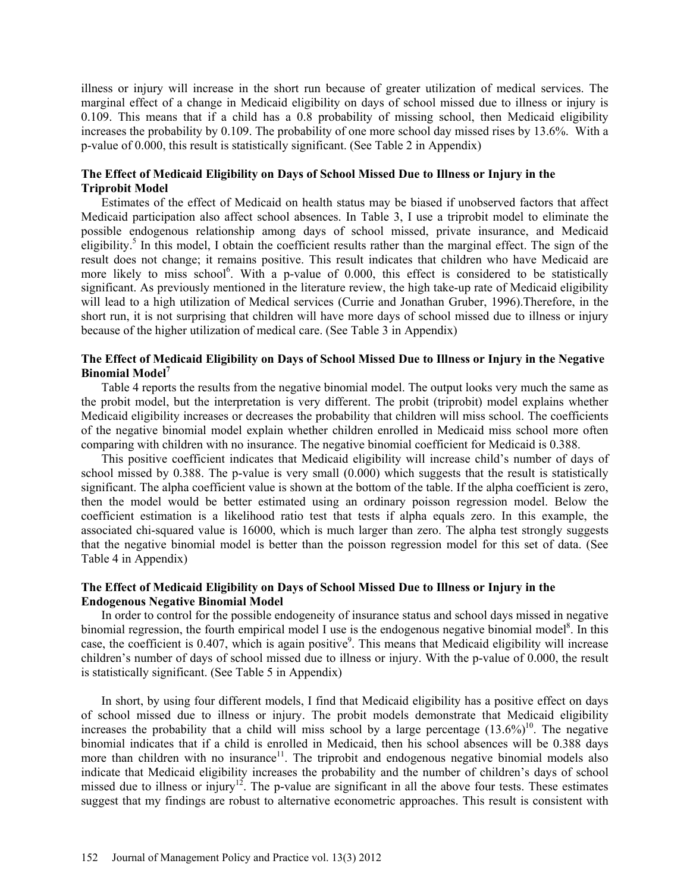illness or injury will increase in the short run because of greater utilization of medical services. The marginal effect of a change in Medicaid eligibility on days of school missed due to illness or injury is 0.109. This means that if a child has a 0.8 probability of missing school, then Medicaid eligibility increases the probability by 0.109. The probability of one more school day missed rises by 13.6%. With a p-value of 0.000, this result is statistically significant. (See Table 2 in Appendix)

### **The Effect of Medicaid Eligibility on Days of School Missed Due to Illness or Injury in the Triprobit Model**

Estimates of the effect of Medicaid on health status may be biased if unobserved factors that affect Medicaid participation also affect school absences. In Table 3, I use a triprobit model to eliminate the possible endogenous relationship among days of school missed, private insurance, and Medicaid eligibility.<sup>5</sup> In this model, I obtain the coefficient results rather than the marginal effect. The sign of the result does not change; it remains positive. This result indicates that children who have Medicaid are more likely to miss school<sup>6</sup>. With a p-value of 0.000, this effect is considered to be statistically significant. As previously mentioned in the literature review, the high take-up rate of Medicaid eligibility will lead to a high utilization of Medical services (Currie and Jonathan Gruber, 1996).Therefore, in the short run, it is not surprising that children will have more days of school missed due to illness or injury because of the higher utilization of medical care. (See Table 3 in Appendix)

### **The Effect of Medicaid Eligibility on Days of School Missed Due to Illness or Injury in the Negative Binomial Model<sup>7</sup>**

Table 4 reports the results from the negative binomial model. The output looks very much the same as the probit model, but the interpretation is very different. The probit (triprobit) model explains whether Medicaid eligibility increases or decreases the probability that children will miss school. The coefficients of the negative binomial model explain whether children enrolled in Medicaid miss school more often comparing with children with no insurance. The negative binomial coefficient for Medicaid is 0.388.

This positive coefficient indicates that Medicaid eligibility will increase child's number of days of school missed by 0.388. The p-value is very small (0.000) which suggests that the result is statistically significant. The alpha coefficient value is shown at the bottom of the table. If the alpha coefficient is zero, then the model would be better estimated using an ordinary poisson regression model. Below the coefficient estimation is a likelihood ratio test that tests if alpha equals zero. In this example, the associated chi-squared value is 16000, which is much larger than zero. The alpha test strongly suggests that the negative binomial model is better than the poisson regression model for this set of data. (See Table 4 in Appendix)

### **The Effect of Medicaid Eligibility on Days of School Missed Due to Illness or Injury in the Endogenous Negative Binomial Model**

In order to control for the possible endogeneity of insurance status and school days missed in negative binomial regression, the fourth empirical model I use is the endogenous negative binomial model<sup>8</sup>. In this case, the coefficient is 0.407, which is again positive<sup>9</sup>. This means that Medicaid eligibility will increase children's number of days of school missed due to illness or injury. With the p-value of 0.000, the result is statistically significant. (See Table 5 in Appendix)

In short, by using four different models, I find that Medicaid eligibility has a positive effect on days of school missed due to illness or injury. The probit models demonstrate that Medicaid eligibility increases the probability that a child will miss school by a large percentage  $(13.6\%)^{10}$ . The negative binomial indicates that if a child is enrolled in Medicaid, then his school absences will be 0.388 days more than children with no insurance<sup>11</sup>. The triprobit and endogenous negative binomial models also indicate that Medicaid eligibility increases the probability and the number of children's days of school missed due to illness or injury<sup>12</sup>. The p-value are significant in all the above four tests. These estimates suggest that my findings are robust to alternative econometric approaches. This result is consistent with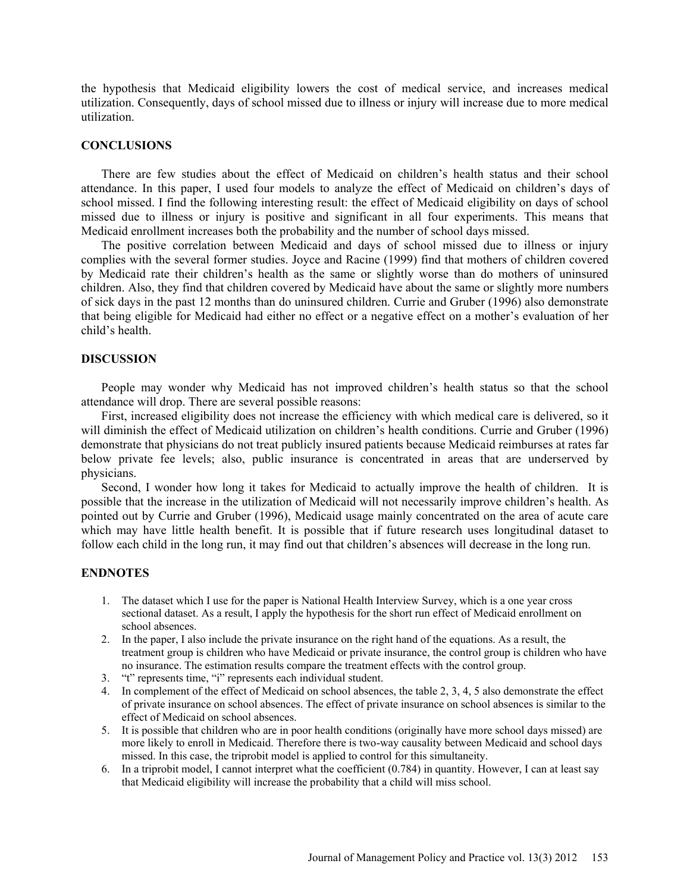the hypothesis that Medicaid eligibility lowers the cost of medical service, and increases medical utilization. Consequently, days of school missed due to illness or injury will increase due to more medical utilization.

### **CONCLUSIONS**

There are few studies about the effect of Medicaid on children's health status and their school attendance. In this paper, I used four models to analyze the effect of Medicaid on children's days of school missed. I find the following interesting result: the effect of Medicaid eligibility on days of school missed due to illness or injury is positive and significant in all four experiments. This means that Medicaid enrollment increases both the probability and the number of school days missed.

The positive correlation between Medicaid and days of school missed due to illness or injury complies with the several former studies. Joyce and Racine (1999) find that mothers of children covered by Medicaid rate their children's health as the same or slightly worse than do mothers of uninsured children. Also, they find that children covered by Medicaid have about the same or slightly more numbers of sick days in the past 12 months than do uninsured children. Currie and Gruber (1996) also demonstrate that being eligible for Medicaid had either no effect or a negative effect on a mother's evaluation of her child's health.

### **DISCUSSION**

People may wonder why Medicaid has not improved children's health status so that the school attendance will drop. There are several possible reasons:

First, increased eligibility does not increase the efficiency with which medical care is delivered, so it will diminish the effect of Medicaid utilization on children's health conditions. Currie and Gruber (1996) demonstrate that physicians do not treat publicly insured patients because Medicaid reimburses at rates far below private fee levels; also, public insurance is concentrated in areas that are underserved by physicians.

Second, I wonder how long it takes for Medicaid to actually improve the health of children. It is possible that the increase in the utilization of Medicaid will not necessarily improve children's health. As pointed out by Currie and Gruber (1996), Medicaid usage mainly concentrated on the area of acute care which may have little health benefit. It is possible that if future research uses longitudinal dataset to follow each child in the long run, it may find out that children's absences will decrease in the long run.

#### **ENDNOTES**

- 1. The dataset which I use for the paper is National Health Interview Survey, which is a one year cross sectional dataset. As a result, I apply the hypothesis for the short run effect of Medicaid enrollment on school absences.
- 2. In the paper, I also include the private insurance on the right hand of the equations. As a result, the treatment group is children who have Medicaid or private insurance, the control group is children who have no insurance. The estimation results compare the treatment effects with the control group.
- 3. "t" represents time, "i" represents each individual student.
- 4. In complement of the effect of Medicaid on school absences, the table 2, 3, 4, 5 also demonstrate the effect of private insurance on school absences. The effect of private insurance on school absences is similar to the effect of Medicaid on school absences.
- 5. It is possible that children who are in poor health conditions (originally have more school days missed) are more likely to enroll in Medicaid. Therefore there is two-way causality between Medicaid and school days missed. In this case, the triprobit model is applied to control for this simultaneity.
- 6. In a triprobit model, I cannot interpret what the coefficient (0.784) in quantity. However, I can at least say that Medicaid eligibility will increase the probability that a child will miss school.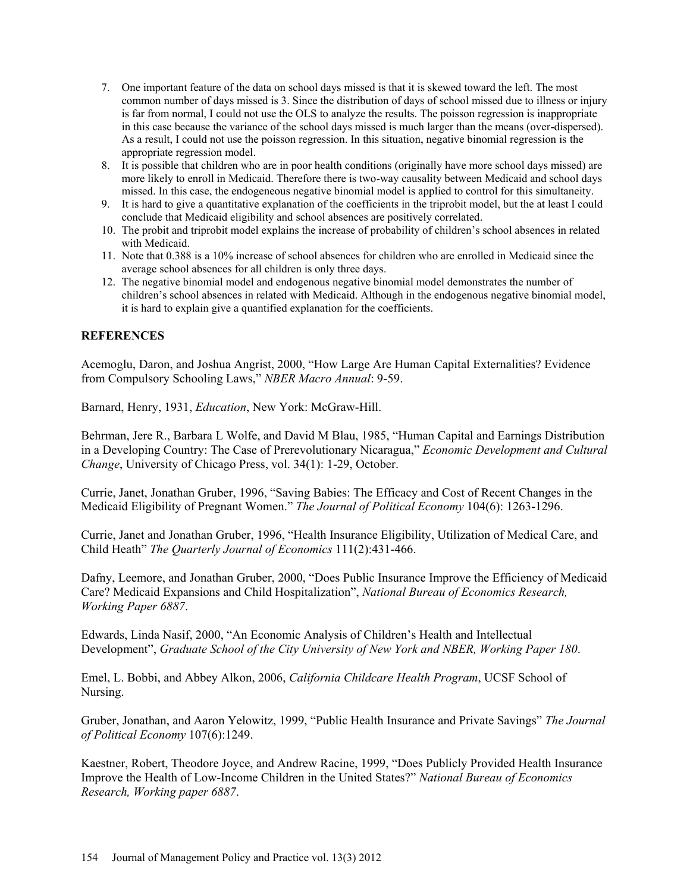- 7. One important feature of the data on school days missed is that it is skewed toward the left. The most common number of days missed is 3. Since the distribution of days of school missed due to illness or injury is far from normal, I could not use the OLS to analyze the results. The poisson regression is inappropriate in this case because the variance of the school days missed is much larger than the means (over-dispersed). As a result, I could not use the poisson regression. In this situation, negative binomial regression is the appropriate regression model.
- 8. It is possible that children who are in poor health conditions (originally have more school days missed) are more likely to enroll in Medicaid. Therefore there is two-way causality between Medicaid and school days missed. In this case, the endogeneous negative binomial model is applied to control for this simultaneity.
- 9. It is hard to give a quantitative explanation of the coefficients in the triprobit model, but the at least I could conclude that Medicaid eligibility and school absences are positively correlated.
- 10. The probit and triprobit model explains the increase of probability of children's school absences in related with Medicaid.
- 11. Note that 0.388 is a 10% increase of school absences for children who are enrolled in Medicaid since the average school absences for all children is only three days.
- 12. The negative binomial model and endogenous negative binomial model demonstrates the number of children's school absences in related with Medicaid. Although in the endogenous negative binomial model, it is hard to explain give a quantified explanation for the coefficients.

## **REFERENCES**

Acemoglu, Daron, and Joshua Angrist, 2000, "How Large Are Human Capital Externalities? Evidence from Compulsory Schooling Laws," *NBER Macro Annual*: 9-59.

Barnard, Henry, 1931, *Education*, New York: McGraw-Hill.

Behrman, Jere R., Barbara L Wolfe, and David M Blau, 1985, "Human Capital and Earnings Distribution in a Developing Country: The Case of Prerevolutionary Nicaragua," *Economic Development and Cultural Change*, University of Chicago Press, vol. 34(1): 1-29, October.

Currie, Janet, Jonathan Gruber, 1996, "Saving Babies: The Efficacy and Cost of Recent Changes in the Medicaid Eligibility of Pregnant Women." *The Journal of Political Economy* 104(6): 1263-1296.

Currie, Janet and Jonathan Gruber, 1996, "Health Insurance Eligibility, Utilization of Medical Care, and Child Heath" *The Quarterly Journal of Economics* 111(2):431-466.

Dafny, Leemore, and Jonathan Gruber, 2000, "Does Public Insurance Improve the Efficiency of Medicaid Care? Medicaid Expansions and Child Hospitalization", *National Bureau of Economics Research, Working Paper 6887*.

Edwards, Linda Nasif, 2000, "An Economic Analysis of Children's Health and Intellectual Development", *Graduate School of the City University of New York and NBER, Working Paper 180*.

Emel, L. Bobbi, and Abbey Alkon, 2006, *California Childcare Health Program*, UCSF School of Nursing.

Gruber, Jonathan, and Aaron Yelowitz, 1999, "Public Health Insurance and Private Savings" *The Journal of Political Economy* 107(6):1249.

Kaestner, Robert, Theodore Joyce, and Andrew Racine, 1999, "Does Publicly Provided Health Insurance Improve the Health of Low-Income Children in the United States?" *National Bureau of Economics Research, Working paper 6887*.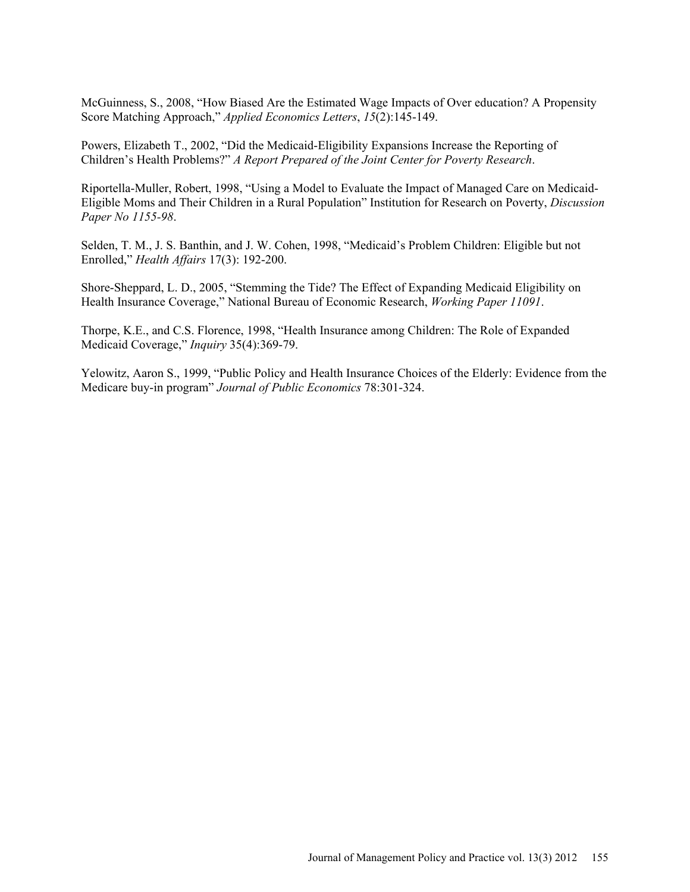McGuinness, S., 2008, "How Biased Are the Estimated Wage Impacts of Over education? A Propensity Score Matching Approach," *Applied Economics Letters*, *15*(2):145-149.

Powers, Elizabeth T., 2002, "Did the Medicaid-Eligibility Expansions Increase the Reporting of Children's Health Problems?" *A Report Prepared of the Joint Center for Poverty Research*.

Riportella-Muller, Robert, 1998, "Using a Model to Evaluate the Impact of Managed Care on Medicaid-Eligible Moms and Their Children in a Rural Population" Institution for Research on Poverty, *Discussion Paper No 1155-98*.

Selden, T. M., J. S. Banthin, and J. W. Cohen, 1998, "Medicaid's Problem Children: Eligible but not Enrolled," *Health Affairs* 17(3): 192-200.

Shore-Sheppard, L. D., 2005, "Stemming the Tide? The Effect of Expanding Medicaid Eligibility on Health Insurance Coverage," National Bureau of Economic Research, *Working Paper 11091*.

Thorpe, K.E., and C.S. Florence, 1998, "Health Insurance among Children: The Role of Expanded Medicaid Coverage," *Inquiry* 35(4):369-79.

Yelowitz, Aaron S., 1999, "Public Policy and Health Insurance Choices of the Elderly: Evidence from the Medicare buy-in program" *Journal of Public Economics* 78:301-324.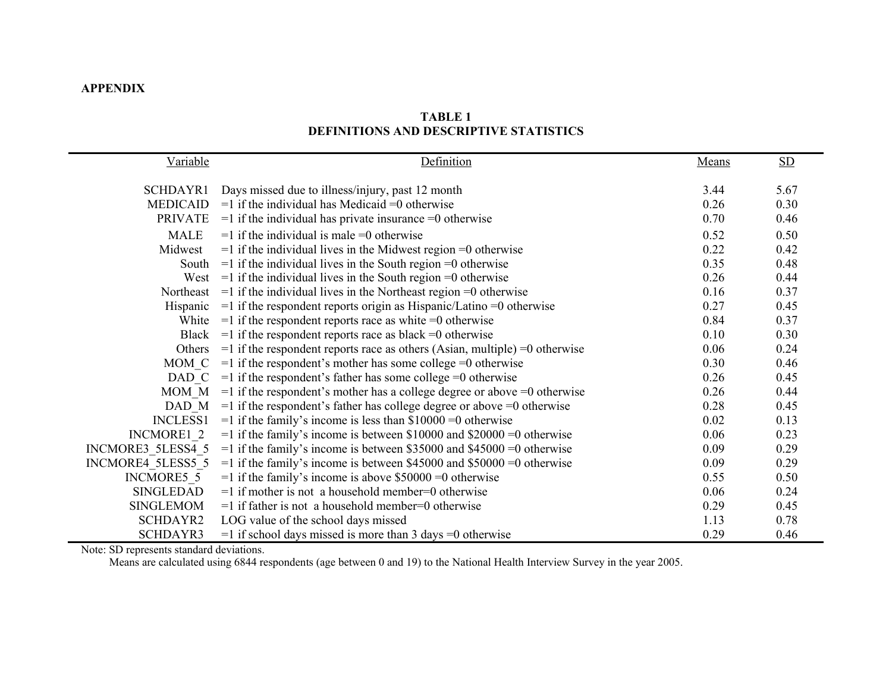# **APPENDIX**

# **TABLE 1 DEFINITIONS AND DESCRIPTIVE STATISTICS**

| Variable          | Definition                                                                       | Means | $\underline{\mathrm{SD}}$ |
|-------------------|----------------------------------------------------------------------------------|-------|---------------------------|
| SCHDAYR1          | Days missed due to illness/injury, past 12 month                                 | 3.44  | 5.67                      |
| <b>MEDICAID</b>   | $=1$ if the individual has Medicaid $=0$ otherwise                               | 0.26  | 0.30                      |
| <b>PRIVATE</b>    | $=$ 1 if the individual has private insurance $=$ 0 otherwise                    | 0.70  | 0.46                      |
| <b>MALE</b>       | $=$ 1 if the individual is male $=$ 0 otherwise                                  | 0.52  | 0.50                      |
| Midwest           | $=$ 1 if the individual lives in the Midwest region $=$ 0 otherwise              | 0.22  | 0.42                      |
| South             | $=$ 1 if the individual lives in the South region $=$ 0 otherwise                | 0.35  | 0.48                      |
| West              | $=$ 1 if the individual lives in the South region $=$ 0 otherwise                | 0.26  | 0.44                      |
| Northeast         | $=$ 1 if the individual lives in the Northeast region $=$ 0 otherwise            | 0.16  | 0.37                      |
| Hispanic          | $=$ 1 if the respondent reports origin as Hispanic/Latino $=$ 0 otherwise        | 0.27  | 0.45                      |
| White             | $=$ 1 if the respondent reports race as white $=$ 0 otherwise                    | 0.84  | 0.37                      |
| <b>Black</b>      | $=$ 1 if the respondent reports race as black $=$ 0 otherwise                    | 0.10  | 0.30                      |
| Others            | $=$ 1 if the respondent reports race as others (Asian, multiple) $=$ 0 otherwise | 0.06  | 0.24                      |
| MOM C             | $=$ 1 if the respondent's mother has some college $=$ 0 otherwise                | 0.30  | 0.46                      |
| DAD C             | $=$ 1 if the respondent's father has some college $=$ 0 otherwise                | 0.26  | 0.45                      |
| MOM M             | $=$ 1 if the respondent's mother has a college degree or above $=$ 0 otherwise   | 0.26  | 0.44                      |
| DAD M             | $=$ 1 if the respondent's father has college degree or above $=$ 0 otherwise     | 0.28  | 0.45                      |
| <b>INCLESS1</b>   | $=$ 1 if the family's income is less than \$10000 $=$ 0 otherwise                | 0.02  | 0.13                      |
| INCMORE1 2        | $=$ 1 if the family's income is between \$10000 and \$20000 $=$ 0 otherwise      | 0.06  | 0.23                      |
| INCMORE3 5LESS4 5 | $=$ 1 if the family's income is between \$35000 and \$45000 $=$ 0 otherwise      | 0.09  | 0.29                      |
| INCMORE4 5LESS5 5 | $=$ 1 if the family's income is between \$45000 and \$50000 $=$ 0 otherwise      | 0.09  | 0.29                      |
| INCMORE5 5        | $=$ 1 if the family's income is above \$50000 $=$ 0 otherwise                    | 0.55  | 0.50                      |
| SINGLEDAD         | $=1$ if mother is not a household member=0 otherwise                             | 0.06  | 0.24                      |
| <b>SINGLEMOM</b>  | $=1$ if father is not a household member=0 otherwise                             | 0.29  | 0.45                      |
| <b>SCHDAYR2</b>   | LOG value of the school days missed                                              | 1.13  | 0.78                      |
| SCHDAYR3          | $=$ 1 if school days missed is more than 3 days $=$ 0 otherwise                  | 0.29  | 0.46                      |

Note: SD represents standard deviations.

Means are calculated using 6844 respondents (age between 0 and 19) to the National Health Interview Survey in the year 2005.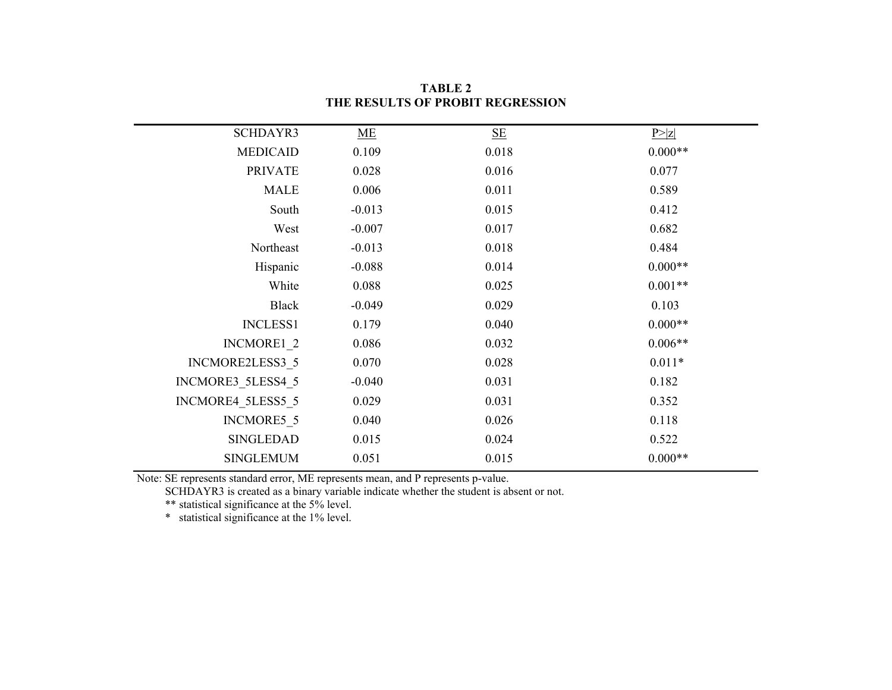| SCHDAYR3          | ME       | $\underline{\mathbf{SE}}$ | P >  Z    |
|-------------------|----------|---------------------------|-----------|
| <b>MEDICAID</b>   | 0.109    | 0.018                     | $0.000**$ |
| <b>PRIVATE</b>    | 0.028    | 0.016                     | 0.077     |
| <b>MALE</b>       | 0.006    | 0.011                     | 0.589     |
| South             | $-0.013$ | 0.015                     | 0.412     |
| West              | $-0.007$ | 0.017                     | 0.682     |
| Northeast         | $-0.013$ | 0.018                     | 0.484     |
| Hispanic          | $-0.088$ | 0.014                     | $0.000**$ |
| White             | 0.088    | 0.025                     | $0.001**$ |
| <b>Black</b>      | $-0.049$ | 0.029                     | 0.103     |
| <b>INCLESS1</b>   | 0.179    | 0.040                     | $0.000**$ |
| INCMORE1 2        | 0.086    | 0.032                     | $0.006**$ |
| INCMORE2LESS3 5   | 0.070    | 0.028                     | $0.011*$  |
| INCMORE3 5LESS4 5 | $-0.040$ | 0.031                     | 0.182     |
| INCMORE4 5LESS5 5 | 0.029    | 0.031                     | 0.352     |
| INCMORE5 5        | 0.040    | 0.026                     | 0.118     |
| <b>SINGLEDAD</b>  | 0.015    | 0.024                     | 0.522     |
| <b>SINGLEMUM</b>  | 0.051    | 0.015                     | $0.000**$ |

**TABLE 2 THE RESULTS OF PROBIT REGRESSION**

Note: SE represents standard error, ME represents mean, and P represents p-value.

SCHDAYR3 is created as a binary variable indicate whether the student is absent or not.

\*\* statistical significance at the 5% level.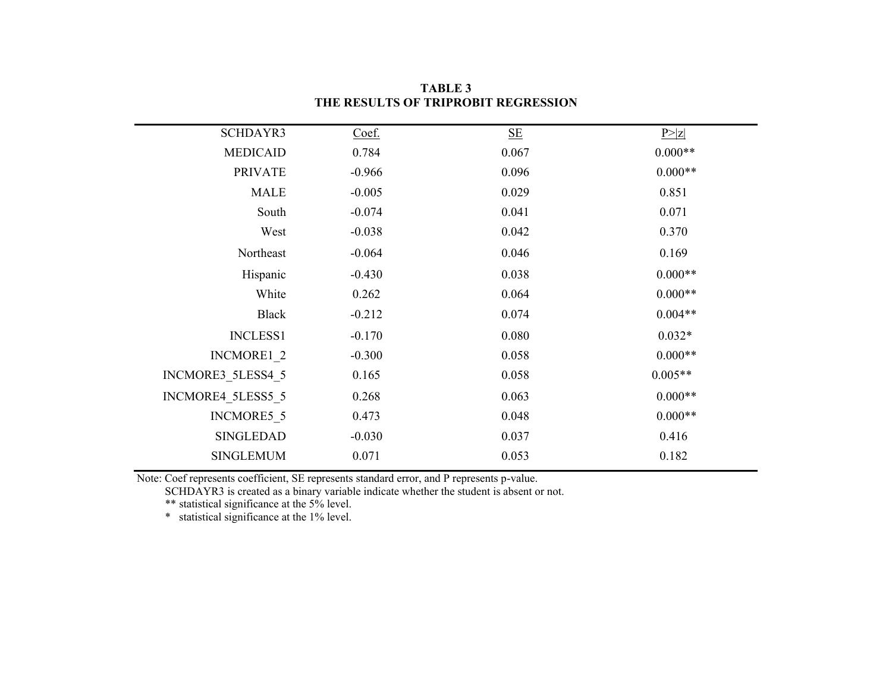| SCHDAYR3          | Coef.    | $\underline{\mathbf{SE}}$ | P >  Z    |
|-------------------|----------|---------------------------|-----------|
| <b>MEDICAID</b>   | 0.784    | 0.067                     | $0.000**$ |
| <b>PRIVATE</b>    | $-0.966$ | 0.096                     | $0.000**$ |
| <b>MALE</b>       | $-0.005$ | 0.029                     | 0.851     |
| South             | $-0.074$ | 0.041                     | 0.071     |
| West              | $-0.038$ | 0.042                     | 0.370     |
| Northeast         | $-0.064$ | 0.046                     | 0.169     |
| Hispanic          | $-0.430$ | 0.038                     | $0.000**$ |
| White             | 0.262    | 0.064                     | $0.000**$ |
| <b>Black</b>      | $-0.212$ | 0.074                     | $0.004**$ |
| <b>INCLESS1</b>   | $-0.170$ | 0.080                     | $0.032*$  |
| INCMORE1 2        | $-0.300$ | 0.058                     | $0.000**$ |
| INCMORE3 5LESS4 5 | 0.165    | 0.058                     | $0.005**$ |
| INCMORE4 5LESS5 5 | 0.268    | 0.063                     | $0.000**$ |
| INCMORE5 5        | 0.473    | 0.048                     | $0.000**$ |
| <b>SINGLEDAD</b>  | $-0.030$ | 0.037                     | 0.416     |
| <b>SINGLEMUM</b>  | 0.071    | 0.053                     | 0.182     |
|                   |          |                           |           |

**TABLE 3 THE RESULTS OF TRIPROBIT REGRESSION**

Note: Coef represents coefficient, SE represents standard error, and P represents p-value.

SCHDAYR3 is created as a binary variable indicate whether the student is absent or not.

\*\* statistical significance at the 5% level.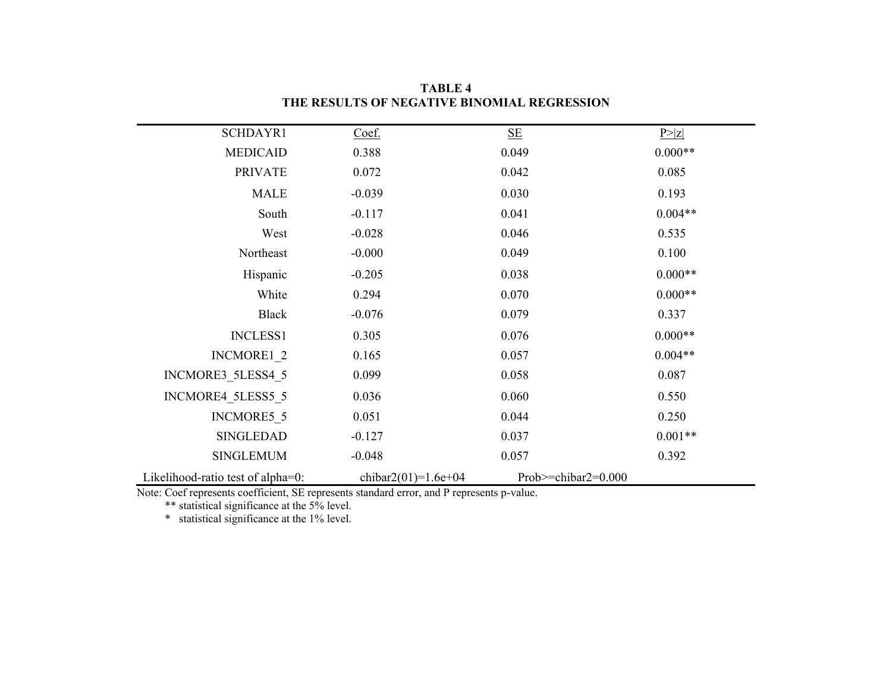| SCHDAYR1                          | Coef.               | $\underline{\mathbf{SE}}$ | P >  Z    |
|-----------------------------------|---------------------|---------------------------|-----------|
| <b>MEDICAID</b>                   | 0.388               | 0.049                     | $0.000**$ |
| <b>PRIVATE</b>                    | 0.072               | 0.042                     | 0.085     |
| <b>MALE</b>                       | $-0.039$            | 0.030                     | 0.193     |
| South                             | $-0.117$            | 0.041                     | $0.004**$ |
| West                              | $-0.028$            | 0.046                     | 0.535     |
| Northeast                         | $-0.000$            | 0.049                     | 0.100     |
| Hispanic                          | $-0.205$            | 0.038                     | $0.000**$ |
| White                             | 0.294               | 0.070                     | $0.000**$ |
| <b>Black</b>                      | $-0.076$            | 0.079                     | 0.337     |
| <b>INCLESS1</b>                   | 0.305               | 0.076                     | $0.000**$ |
| INCMORE1 2                        | 0.165               | 0.057                     | $0.004**$ |
| INCMORE3_5LESS4_5                 | 0.099               | 0.058                     | 0.087     |
| INCMORE4 5LESS5 5                 | 0.036               | 0.060                     | 0.550     |
| INCMORE5 5                        | 0.051               | 0.044                     | 0.250     |
| <b>SINGLEDAD</b>                  | $-0.127$            | 0.037                     | $0.001**$ |
| <b>SINGLEMUM</b>                  | $-0.048$            | 0.057                     | 0.392     |
| Likelihood-ratio test of alpha=0: | chibar2(01)=1.6e+04 | Prob $>=$ chibar2=0.000   |           |

**TABLE 4 THE RESULTS OF NEGATIVE BINOMIAL REGRESSION**

Note: Coef represents coefficient, SE represents standard error, and P represents p-value.

\*\* statistical significance at the 5% level.